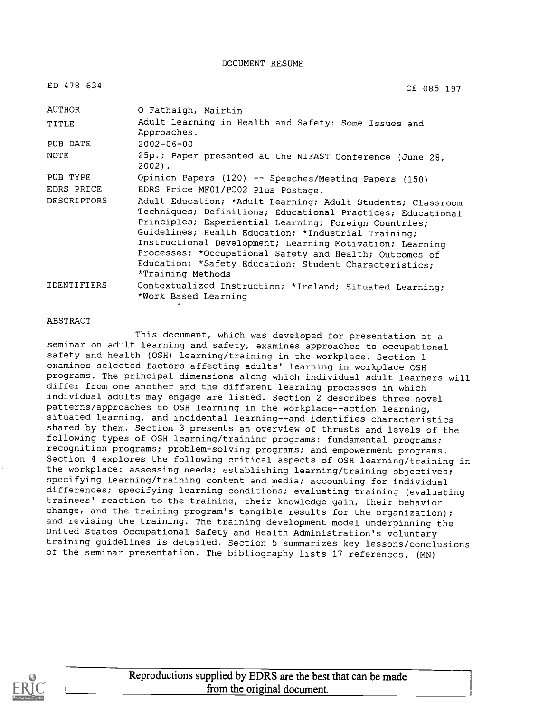DOCUMENT RESUME

| ED 478 634         | CE 085 197                                                                                                                                                                                                                                                                                                                                                                                                                                       |
|--------------------|--------------------------------------------------------------------------------------------------------------------------------------------------------------------------------------------------------------------------------------------------------------------------------------------------------------------------------------------------------------------------------------------------------------------------------------------------|
| AUTHOR             | O Fathaigh, Mairtin                                                                                                                                                                                                                                                                                                                                                                                                                              |
| TITLE              | Adult Learning in Health and Safety: Some Issues and<br>Approaches.                                                                                                                                                                                                                                                                                                                                                                              |
| PUB DATE           | $2002 - 06 - 00$                                                                                                                                                                                                                                                                                                                                                                                                                                 |
| NOTE               | 25p.; Paper presented at the NIFAST Conference (June 28,<br>$2002$ .                                                                                                                                                                                                                                                                                                                                                                             |
| PUB TYPE           | Opinion Papers (120) -- Speeches/Meeting Papers (150)                                                                                                                                                                                                                                                                                                                                                                                            |
| EDRS PRICE         | EDRS Price MF01/PC02 Plus Postage.                                                                                                                                                                                                                                                                                                                                                                                                               |
| <b>DESCRIPTORS</b> | Adult Education; *Adult Learning; Adult Students; Classroom<br>Techniques; Definitions; Educational Practices; Educational<br>Principles; Experiential Learning; Foreign Countries;<br>Guidelines; Health Education; *Industrial Training;<br>Instructional Development; Learning Motivation; Learning<br>Processes; *Occupational Safety and Health; Outcomes of<br>Education; *Safety Education; Student Characteristics;<br>*Training Methods |
| IDENTIFIERS        | Contextualized Instruction; *Ireland; Situated Learning;<br>*Work Based Learning                                                                                                                                                                                                                                                                                                                                                                 |

#### ABSTRACT

This document, which was developed for presentation at a seminar on adult learning and safety, examines approaches to occupational safety and health (OSH) learning/training in the workplace. Section 1 examines selected factors affecting adults' learning in workplace OSH programs. The principal dimensions along which individual adult learners will differ from one another and the different learning processes in which individual adults may engage are listed. Section 2 describes three novel patterns/approaches to OSH learning in the workplace--action learning, situated learning, and incidental learning--and identifies characteristics shared by them. Section 3 presents an overview of thrusts and levels of the following types of OSH learning/training programs: fundamental programs; recognition programs; problem-solving programs; and empowerment programs. Section 4 explores the following critical aspects of OSH learning/training in the workplace: assessing needs; establishing learning/training objectives; specifying learning/training content and media; accounting for individual differences; specifying learning conditions; evaluating training (evaluating trainees' reaction to the training, their knowledge gain, their behavior change, and the training program's tangible results for the organization); and revising the training. The training development model underpinning the United States Occupational Safety and Health Administration's voluntary training guidelines is detailed. Section 5 summarizes key lessons/conclusions of the seminar presentation. The bibliography lists 17 references. (MN)



Reproductions supplied by EDRS are the best that can be made from the original document.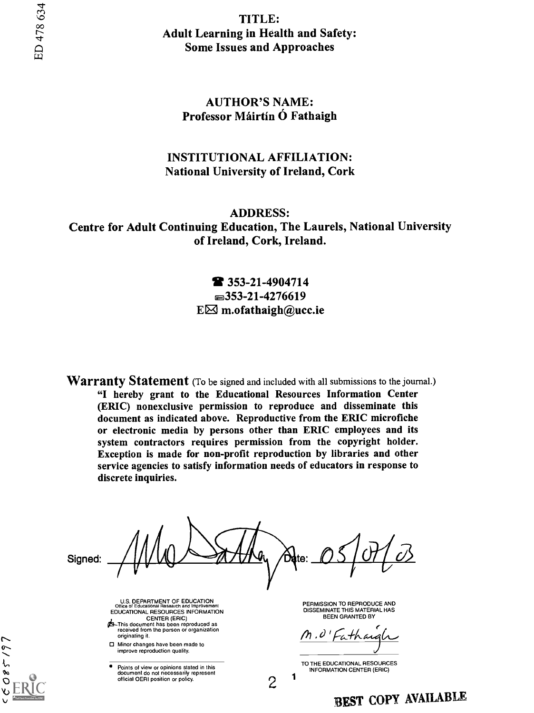TITLE: Adult Learning in Health and Safety: Some Issues and Approaches

#### AUTHOR'S NAME: Professor Máirtín Ó Fathaigh

#### INSTITUTIONAL AFFILIATION: National University of Ireland, Cork

ADDRESS: Centre for Adult Continuing Education, The Laurels, National University of Ireland, Cork, Ireland.

### 353-21-4904714  $\equiv$ 353-21-4276619  $E\boxtimes$  m.ofathaigh@ucc.ie

**Warranty Statement** (To be signed and included with all submissions to the journal.) "I hereby grant to the Educational Resources Information Center (ERIC) nonexclusive permission to reproduce and disseminate this document as indicated above. Reproductive from the ERIC microfiche or electronic media by persons other than ERIC employees and its system contractors requires permission from the copyright holder. Exception is made for non-profit reproduction by libraries and other service agencies to satisfy information needs of educators in response to discrete inquiries.

Signed:

 $085/9$ 

**Date:** 

U.S. DEPARTMENT OF EDUCATION Office of Educational Research and Improvement EDUCATIONAL RESOURCES INFORMATION CENTER (ERIC) C<sub>I</sub>S-This document has been reproduced as

- received from the person or organization originating it.
- □ Minor changes have been made to improve reproduction quality.
- Points of view or opinions stated in this document do not necessarily represent official OERI position or policy.<br>2

PERMISSION TO REPRODUCE AND DISSEMINATE THIS MATERIAL HAS BEEN GRANTED BY

M.O'Fathar

TO THE EDUCATIONAL RESOURCES INFORMATION CENTER (ERIC)

BEST COPY AVAILABLE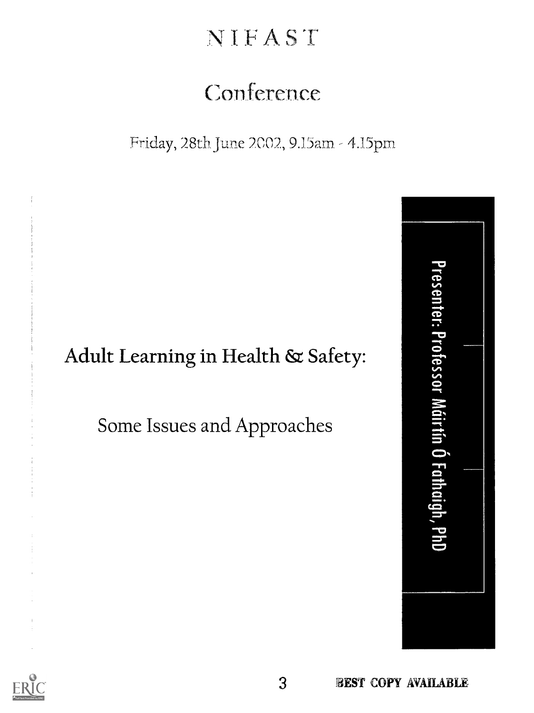# **NIFAST**

# Conference

Friday, 28th June 2002, 9.15am - 4.15pm

# Adult Learning in Health & Safety:

Some Issues and Approaches



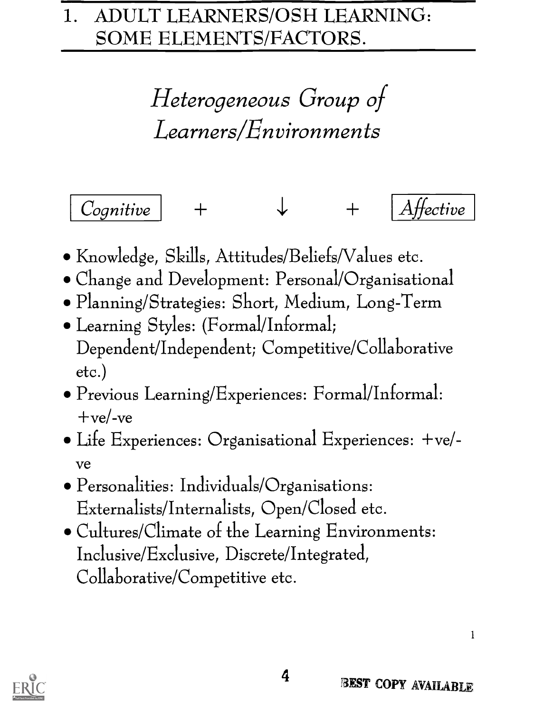# 1. ADULT LEARNERS/OSH LEARNING: SOME ELEMENTS/FACTORS.

Heterogeneous Group of Learners/Environments



- Knowledge, Skills, Attitudes/Beliefs/Values etc.
- Change and Development: Personal/Organisational
- Planning/Strategies: Short, Medium, Long-Term
- Learning Styles: (Formal/Informal; Dependent/Independent; Competitive/Collaborative etc.)
- Previous Learning/Experiences: Formal/Informal: +ve/-ve
- Life Experiences: Organisational Experiences: +ve/ ve
- Personalities: Individuals/Organisations: Externalists/Internalists, Open/Closed etc.
- Cultures/Climate of the Learning Environments: Inclusive/Exclusive, Discrete/Integrated, Collaborative/Competitive etc.

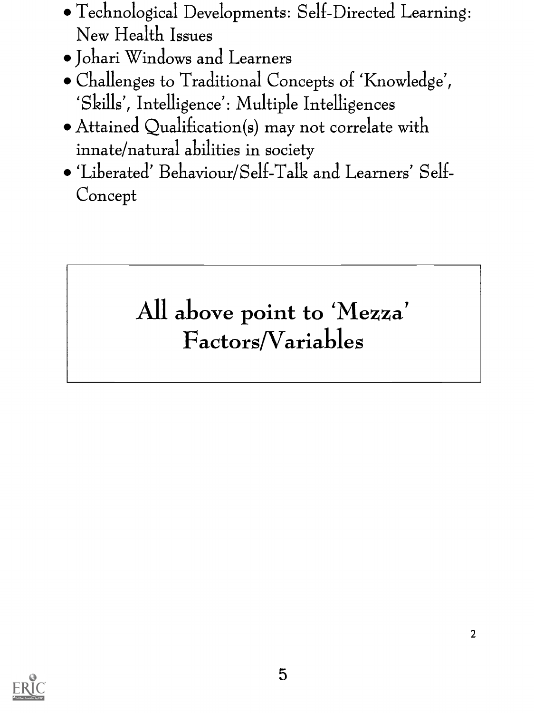- Technological Developments: Self-Directed Learning: New Health Issues
- Johari Windows and Learners
- Challenges to Traditional Concepts of 'Knowledge', `Skills', Intelligence': Multiple Intelligences
- Attained Qualification(s) may not correlate with innate/natural abilities in society
- 'Liberated' Behaviour/Self-Talk and Learners' Self Concept

# All above point to 'Mezza' Factors/Variables

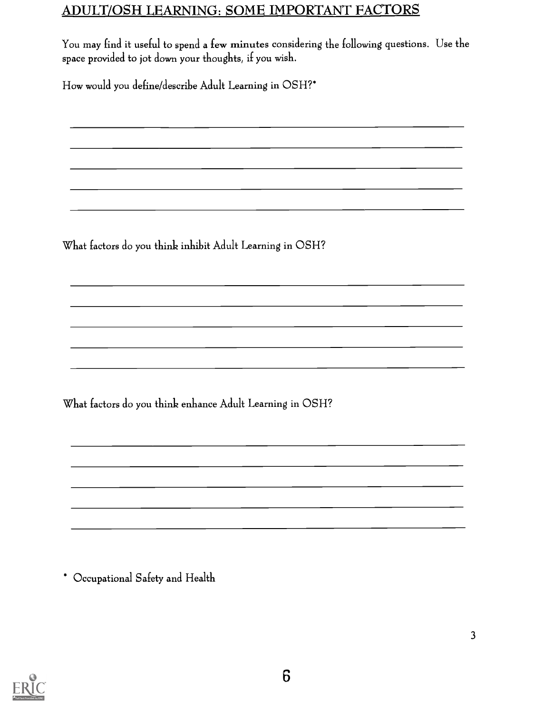# ADULT/OSH LEARNING: SOME IMPORTANT FACTORS

You may find it useful to spend a few minutes considering the following questions. Use the space provided to jot down your thoughts, if you wish.

<u> 1980 - John Stone, mars et al. (b. 1980)</u>

<u> 1989 - Johann Stein, mars an deutscher Stein († 1989)</u>

<u> 1990 - Jan James James James James James James James James James James James James James James James James J</u>

<u> 1989 - Johann John Stone, meilich aus der Schwarzer und der Stone und der Stone und der Stone und der Stone u</u>

<u> 1989 - Jan James James Barnett, amerikansk politiker (d. 1989)</u>

<u> 1989 - Johann John Stone, meil er fan de ferske fan de ferske fan de ferske fan de ferske fan de ferske fan d</u>

<u> 1989 - Jan Samuel Barbara, poeta esperanto-poeta esperanto-poeta esperanto-poeta esperanto-poeta esperanto-po</u>

How would you define/describe Adult Learning in OSH?\*

What factors do you think inhibit Adult Learning in OSH?

What factors do you think enhance Adult Learning in OSH?

\* Occupational Safety and Health

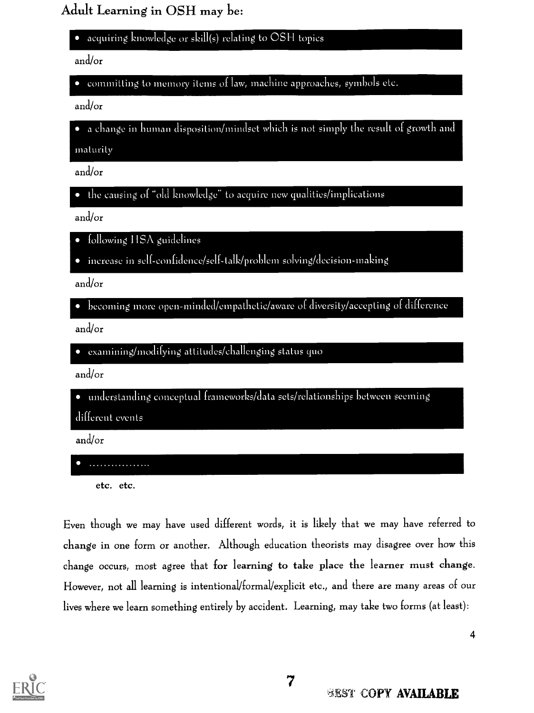Adult Learning in OSH may be:

acquiring knowledge or skill(s) relating to OSH topics

and/or

committing to memory items of law, machine approaches, symbols etc.

and/or

 $\bullet$  a change in human disposition/mindset which is not simply the result of growth and

maturity

and/or

the causing of "old knowledge" to acquire new qualities/implications

and/or

- $\bullet$  following HSA guidelines
- increase in self- confidence /self -talk /problem solving/decision-making

and/or

becoming more open-minded/empalhelic/aware of diversity /accepting of difference

and/or

examining/modifying attitudes/challenging status quo

and/or

 $\bullet$  understanding conceptual frameworks/data sets/relationships between seeming different events

and/or

. . . . . . . . . . . . . . . . .

etc. etc.

Even though we may have used different words, it is likely that we may have referred to change in one form or another. Although education theorists may disagree over how this change occurs, most agree that for learning to take place the learner must change. However, not all learning is intentional/formal/explicit etc., and there are many areas of our lives where we learn something entirely by accident. Learning, may take two forms (at least):

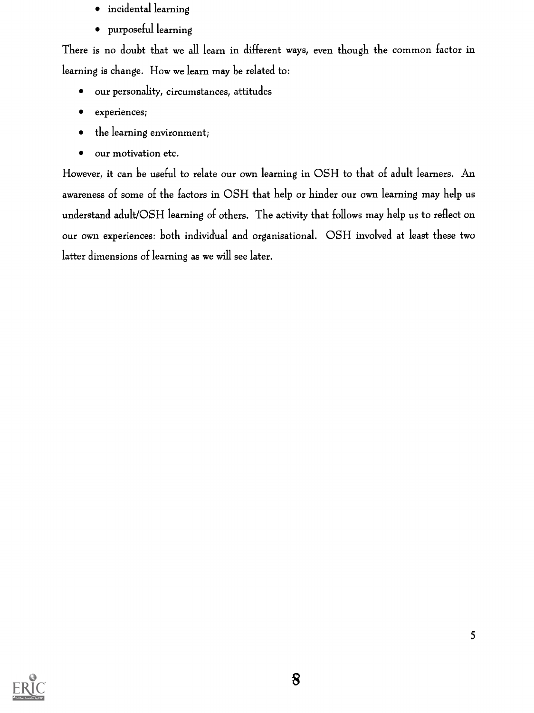- incidental learning
- purposeful learning

There is no doubt that we all learn in different ways, even though the common factor in learning is change. How we learn may be related to:

- our personality, circumstances, attitudes
- experiences;  $\bullet$
- the learning environment;
- our motivation etc.  $\bullet$

However, it can be useful to relate our own learning in OSH to that of adult learners. An awareness of some of the factors in OSH that help or hinder our own learning may help us understand adult/OSH learning of others. The activity that follows may help us to reflect on our own experiences: both individual and organisational. OSH involved at least these two latter dimensions of learning as we will see later.

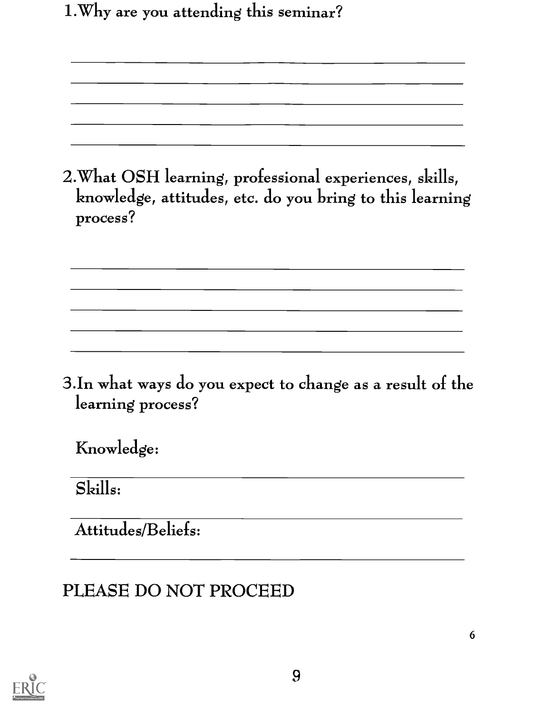1.Why are you attending this seminar?

2. What OSH learning, professional experiences, skills, knowledge, attitudes, etc. do you bring to this learning process?

3.In what ways do you expect to change as a result of the learning process?

Knowledge:

Skills:

Attitudes/Beliefs:

# PLEASE DO NOT PROCEED

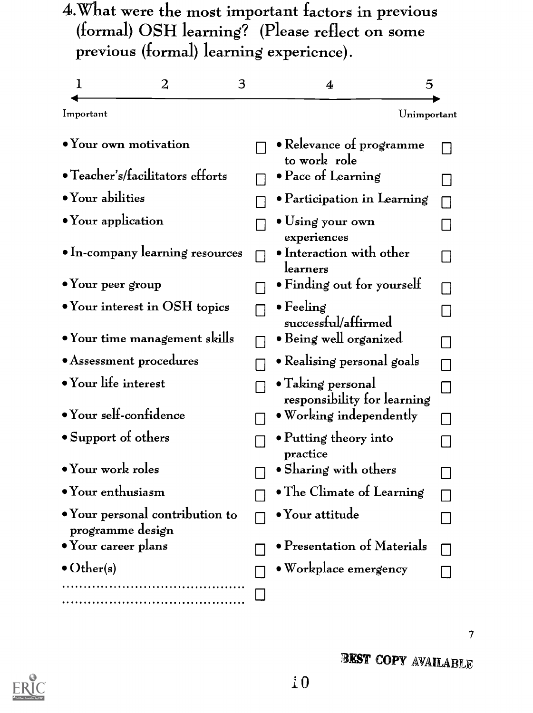4.What were the most important factors in previous (formal) OSH learning? (Please reflect on some previous (formal) learning experience).

| 1                         | 2                                       | 3 | 5<br>4                                           |  |
|---------------------------|-----------------------------------------|---|--------------------------------------------------|--|
| Important                 |                                         |   | Unimportant                                      |  |
|                           | $\bullet$ Your own motivation           |   | • Relevance of programme<br>to work role         |  |
|                           | • Teacher's/facilitators efforts        |   | $\bullet$ Pace of Learning                       |  |
| • Your abilities          |                                         |   | $\bullet$ Participation in Learning              |  |
| • Your application        |                                         |   | $\bullet$ Using your own<br>experiences          |  |
|                           | $\bullet$ In-company learning resources |   | $\bullet$ Interaction with other<br>learners     |  |
| $\bullet$ Your peer group |                                         |   | • Finding out for yourself                       |  |
|                           | • Your interest in OSH topics           |   | $\bullet$ Feeling<br>successful/affirmed         |  |
|                           | • Your time management skills           |   | $\bullet$ Being well organized                   |  |
|                           | • Assessment procedures                 |   | • Realising personal goals                       |  |
| • Your life interest      |                                         |   | • Taking personal<br>responsibility for learning |  |
|                           | • Your self-confidence                  |   | • Working independently                          |  |
| • Support of others       |                                         |   | • Putting theory into<br>practice                |  |
| $\bullet$ Your work roles |                                         |   | • Sharing with others                            |  |
| $\bullet$ Your enthusiasm |                                         |   | • The Climate of Learning                        |  |
| programme design          | • Your personal contribution to         |   | $\bullet$ Your attitude                          |  |
| • Your career plans       |                                         |   | • Presentation of Materials                      |  |
| $\bullet$ Other(s)        |                                         |   | $\bullet$ Workplace emergency                    |  |
|                           |                                         |   |                                                  |  |

 $\overline{7}$ 

BEST COPY AVAILABLE

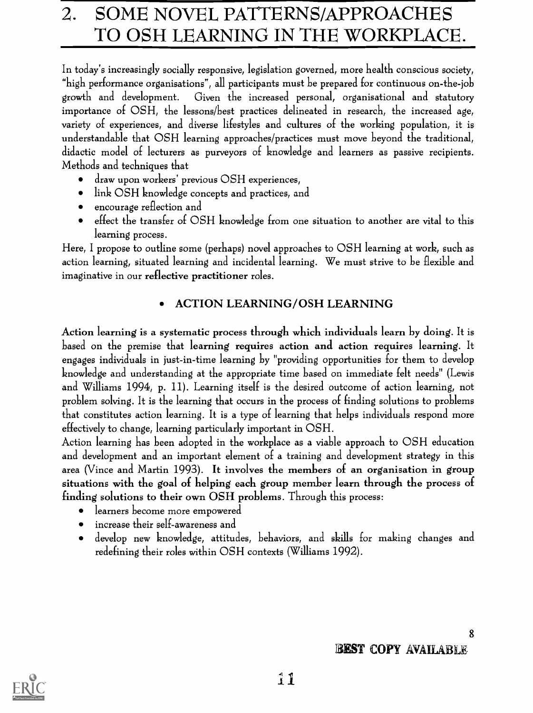# 2. SOME NOVEL PATTERNS/APPROACHES TO OSH LEARNING IN THE WORKPLACE.

In today's increasingly socially responsive, legislation governed, more health conscious society, "high performance organisations", all participants must be prepared for continuous on-the-job growth and development. Given the increased personal, organisational and statutory importance of OSH, the lessons/best practices delineated in research, the increased age, variety of experiences, and diverse lifestyles and cultures of the working population, it is understandable that OSH learning approaches/practices must move beyond the traditional, didactic model of lecturers as purveyors of knowledge and learners as passive recipients. Methods and techniques that

- draw upon workers' previous OSH experiences,
- link OSH knowledge concepts and practices, and
- encourage reflection and
- effect the transfer of OSH knowledge from one situation to another are vital to this learning process.

Here, I propose to outline some (perhaps) novel approaches to OSH learning at work, such as action learning, situated learning and incidental learning. We must strive to be flexible and imaginative in our reflective practitioner roles.

# ACTION LEARNING/OSH LEARNING

Action learning is a systematic process through which individuals learn by doing. It is based on the premise that learning requires action and action requires learning. It engages individuals in just-in-time learning by "providing opportunities for them to develop knowledge and understanding at the appropriate time based on immediate felt needs" (Lewis and Williams 1994, p. 11). Learning itself is the desired outcome of action learning, not problem solving. It is the learning that occurs in the process of finding solutions to problems that constitutes action learning. It is a type of learning that helps individuals respond more effectively to change, learning particularly important in OSH.

Action learning has been adopted in the workplace as a viable approach to OSH education and development and an important element of a training and development strategy in this area (Vince and Martin 1993). It involves the members of an organisation in group situations with the goal of helping each group member learn through the process of finding solutions to their own OSH problems. Through this process:

- learners become more empowered
- increase their self-awareness and
- develop new knowledge, attitudes, behaviors, and skills for making changes and redefining their roles within OSH contexts (Williams 1992).

# **BEST COPY AVAILABLE**

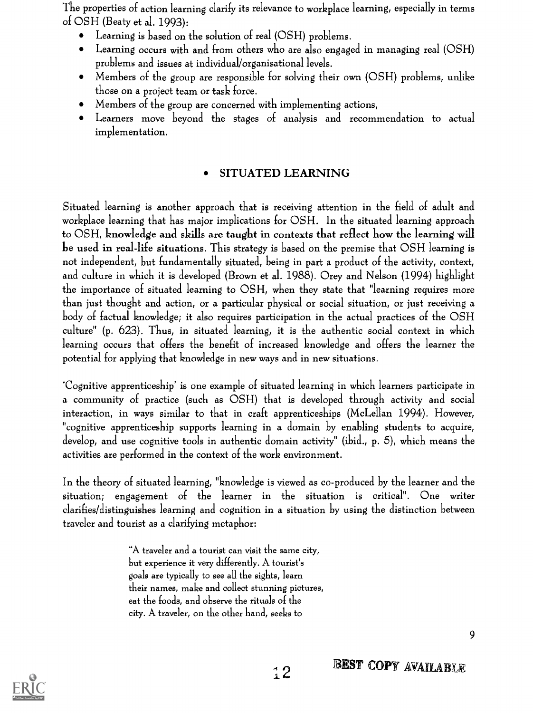The properties of action learning clarify its relevance to workplace learning, especially in terms of OSH (Beaty et al. 1993):

- Learning is based on the solution of real (OSH) problems.  $\bullet$
- Learning occurs with and from others who are also engaged in managing real (OSH) problems and issues at individual/organisational levels.
- Members of the group are responsible for solving their own (OSH) problems, unlike those on a project team or task force.
- Members of the group are concerned with implementing actions,
- Learners move beyond the stages of analysis and recommendation to actual implementation.

#### SITUATED LEARNING

Situated learning is another approach that is receiving attention in the field of adult and workplace learning that has major implications for OSH. In the situated learning approach to OSH, knowledge and skills are taught in contexts that reflect how the learning will be used in real-life situations. This strategy is based on the premise that OSH learning is not independent, but fundamentally situated, being in part a product of the activity, context, and culture in which it is developed (Brown et al. 1988). Orey and Nelson (1994) highlight the importance of situated learning to OSH, when they state that "learning requires more than just thought and action, or a particular physical or social situation, or just receiving a body of factual knowledge; it also requires participation in the actual practices of the OSH culture" (p. 623). Thus, in situated learning, it is the authentic social context in which learning occurs that offers the benefit of increased knowledge and offers the learner the potential for applying that knowledge in new ways and in new situations.

`Cognitive apprenticeship' is one example of situated learning in which learners participate in a community of practice (such as OSH) that is developed through activity and social interaction, in ways similar to that in craft apprenticeships (McLellan 1994). However, "cognitive apprenticeship supports learning in a domain by enabling students to acquire, develop, and use cognitive tools in authentic domain activity" (ibid., p. 5), which means the activities are performed in the context of the work environment.

In the theory of situated learning, "knowledge is viewed as co-produced by the learner and the situation; engagement of the learner in the situation is critical". One writer clarifies/distinguishes learning and cognition in a situation by using the distinction between traveler and tourist as a clarifying metaphor:

 $\frac{1}{1}$ 

"A traveler and a tourist can visit the same city, but experience it very differently. A tourist's goals are typically to see all the sights, learn their names, make and collect stunning pictures, eat the foods, and observe the rituals of the city. A traveler, on the other hand, seeks to

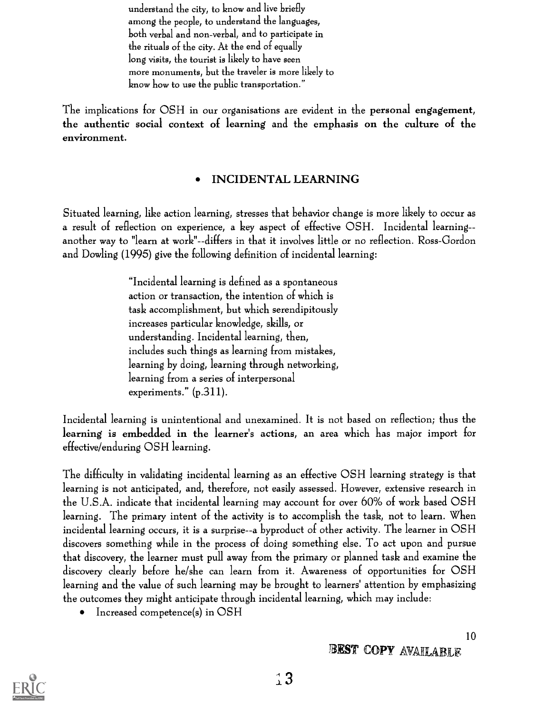understand the city, to know and live briefly among the people, to understand the languages, both verbal and non-verbal, and to participate in the rituals of the city. At the end of equally long visits, the tourist is likely to have seen more monuments, but the traveler is more likely to know how to use the public transportation."

The implications for OSH in our organisations are evident in the personal engagement, the authentic social context of learning and the emphasis on the culture of the environment.

### INCIDENTAL LEARNING

Situated learning, like action learning, stresses that behavior change is more likely to occur as a result of reflection on experience, a key aspect of effective OSH. Incidental learning- another way to "learn at work"--differs in that it involves little or no reflection. Ross-Gordon and Dowling (1995) give the following definition of incidental learning:

> "Incidental learning is defined as a spontaneous action or transaction, the intention of which is task accomplishment, but which serendipitously increases particular knowledge, skills, or understanding. Incidental learning, then, includes such things as learning from mistakes, learning by doing, learning through networking, learning from a series of interpersonal experiments."  $(p.311)$ .

Incidental learning is unintentional and unexamined. It is not based on reflection; thus the learning is embedded in the learner's actions, an area which has major import for effective/enduring OSH learning.

The difficulty in validating incidental learning as an effective OSH learning strategy is that learning is not anticipated, and, therefore, not easily assessed. However, extensive research in the U.S.A. indicate that incidental learning may account for over 60% of work based OSH learning. The primary intent of the activity is to accomplish the task, not to learn. When incidental learning occurs, it is a surprise--a byproduct of other activity. The learner in OSH discovers something while in the process of doing something else. To act upon and pursue that discovery, the learner must pull away from the primary or planned task and examine the discovery clearly before he/she can learn from it. Awareness of opportunities for OSH learning and the value of such learning may be brought to learners' attention by emphasizing the outcomes they might anticipate through incidental learning, which may include:

• Increased competence(s) in OSH

# BEST COPY AVAILABLE

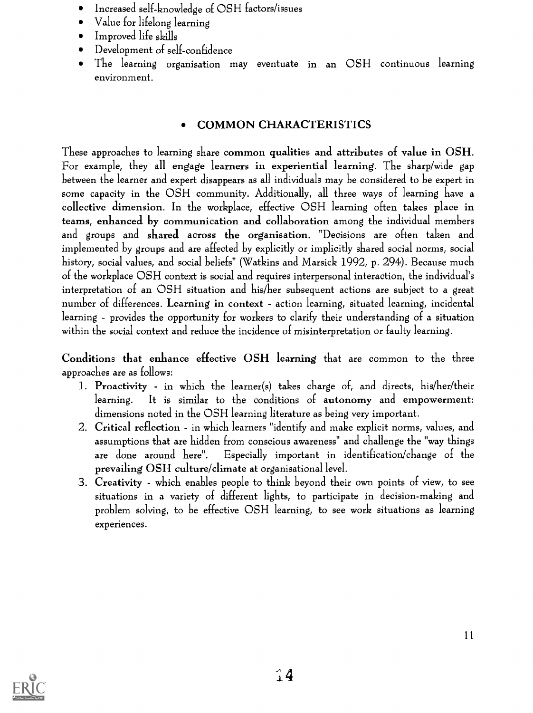- Increased self-knowledge of OSH factors/issues
- Value for lifelong learning
- Improved life skills
- Development of self-confidence
- The learning organisation may eventuate in an OSH continuous learning  $\bullet$ environment.

# COMMON CHARACTERISTICS

These approaches to learning share common qualities and attributes of value in OSH. For example, they all engage learners in experiential learning. The sharp/wide gap between the learner and expert disappears as all individuals may be considered to be expert in some capacity in the OSH community. Additionally, all three ways of learning have a collective dimension. In the workplace, effective OSH learning often takes place in teams, enhanced by communication and collaboration among the individual members and groups and shared across the organisation. "Decisions are often taken and implemented by groups and are affected by explicitly or implicitly shared social norms, social history, social values, and social beliefs" (Watkins and Marsick 1992, p. 294). Because much of the workplace OSH context is social and requires interpersonal interaction, the individual's interpretation of an OSH situation and his/her subsequent actions are subject to a great number of differences. Learning in context - action learning, situated learning, incidental learning - provides the opportunity for workers to clarify their understanding of a situation within the social context and reduce the incidence of misinterpretation or faulty learning.

Conditions that enhance effective OSH learning that are common to the three approaches are as follows:

- 1. Proactivity in which the learner(s) takes charge of, and directs, his/her/their learning. It is similar to the conditions of autonomy and empowerment: dimensions noted in the OSH learning literature as being very important.
- 2. Critical reflection in which learners "identify and make explicit norms, values, and assumptions that are hidden from conscious awareness" and challenge the "way things are done around here". Especially important in identification/change of the prevailing OSH culture/climate at organisational level.
- 3. Creativity which enables people to think beyond their own points of view, to see situations in a variety of different lights, to participate in decision-making and problem solving, to be effective OSH learning, to see work situations as learning experiences.

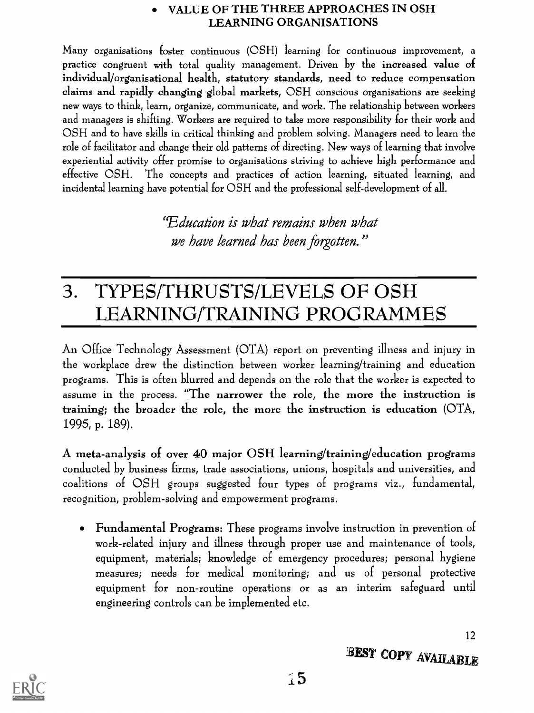#### VALUE OF THE THREE APPROACHES IN OSH LEARNING ORGANISATIONS

Many organisations foster continuous (OSH) learning for continuous improvement, a practice congruent with total quality management. Driven by the increased value of individual/organisational health, statutory standards, need to reduce compensation claims and rapidly changing global markets, OSH conscious organisations are seeking new ways to think, learn, organize, communicate, and work. The relationship between workers and managers is shifting. Workers are required to take more responsibility for their work and OSH and to have skills in critical thinking and problem solving. Managers need to learn the role of facilitator and change their old patterns of directing. New ways of learning that involve experiential activity offer promise to organisations striving to achieve high performance and effective OSH. The concepts and practices of action learning, situated learning, and incidental learning have potential for OSH and the professional self-development of all.

> "Education is what remains when what we have learned has been forgotten."

# TYPES/THRUSTS/LEVELS OF OSH 3. LEARNING/TRAINING PROGRAMMES

An Office Technology Assessment (OTA) report on preventing illness and injury in the workplace drew the distinction between worker learning/training and education programs. This is often blurred and depends on the role that the worker is expected to assume in the process. "The narrower the role, the more the instruction is training; the broader the role, the more the instruction is education (OTA, 1995, p. 189).

A meta-analysis of over 40 major OSH learning/training/education programs conducted by business firms, trade associations, unions, hospitals and universities, and coalitions of OSH groups suggested four types of programs viz., fundamental, recognition, problem-solving and empowerment programs.

Fundamental Programs: These programs involve instruction in prevention of work-related injury and illness through proper use and maintenance of tools, equipment, materials; knowledge of emergency procedures; personal hygiene measures; needs for medical monitoring; and us of personal protective equipment for non-routine operations or as an interim safeguard until engineering controls can be implemented etc.



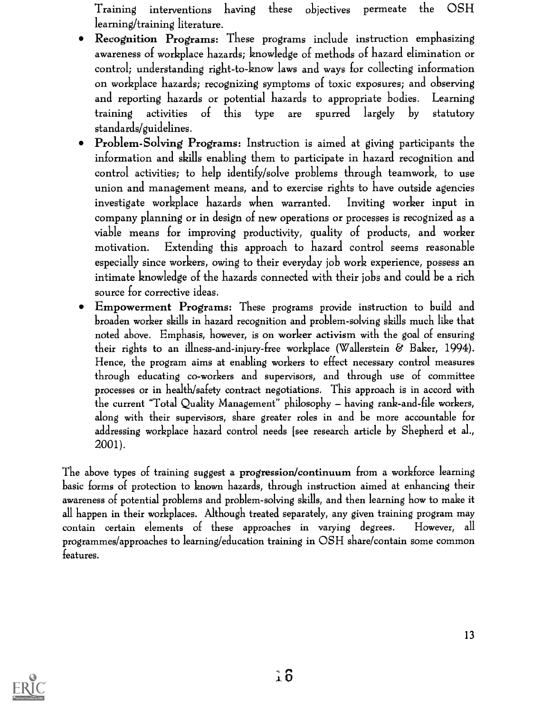Training interventions having these objectives permeate the OSH learning/training literature.

- Recognition Programs: These programs include instruction emphasizing awareness of workplace hazards; knowledge of methods of hazard elimination or control; understanding right-to-know laws and ways for collecting information on workplace hazards; recognizing symptoms of toxic exposures; and observing and reporting hazards or potential hazards to appropriate bodies. Learning training activities of this type are spurred largely by statutory standards/guidelines.
- Problem-Solving Programs: Instruction is aimed at giving participants the information and skills enabling them to participate in hazard recognition and control activities; to help identify/solve problems through teamwork, to use union and management means, and to exercise rights to have outside agencies investigate workplace hazards when warranted. Inviting worker input in company planning or in design of new operations or processes is recognized as a viable means for improving productivity, quality of products, and worker motivation. Extending this approach to hazard control seems reasonable especially since workers, owing to their everyday job work experience, possess an intimate knowledge of the hazards connected with their jobs and could be a rich source for corrective ideas.
- Empowerment Programs: These programs provide instruction to build and broaden worker skills in hazard recognition and problem-solving skills much like that noted above. Emphasis, however, is on worker activism with the goal of ensuring their rights to an illness-and-injury-free workplace (Wallerstein  $\&$  Baker, 1994). Hence, the program aims at enabling workers to effect necessary control measures through educating co-workers and supervisors, and through use of committee processes or in health/safety contract negotiations. This approach is in accord with the current "Total Quality Management" philosophy – having rank-and-file workers, along with their supervisors, share greater roles in and be more accountable for addressing workplace hazard control needs [see research article by Shepherd et al., 2001).

The above types of training suggest a progression/continuum from a workforce learning basic forms of protection to known hazards, through instruction aimed at enhancing their awareness of potential problems and problem-solving skills, and then learning how to make it all happen in their workplaces. Although treated separately, any given training program may contain certain elements of these approaches in varying degrees. However, all programmes/approaches to learning/education training in OSH share/contain some common features.

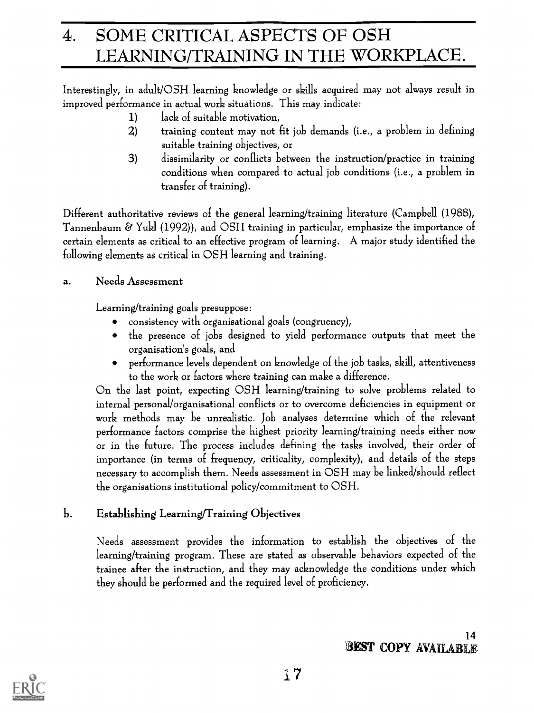# 4. SOME CRITICAL ASPECTS OF OSH LEARNING/TRAINING IN THE WORKPLACE.

Interestingly, in adult/OSH learning knowledge or skills acquired may not always result in improved performance in actual work situations. This may indicate:

- 1) lack of suitable motivation,
- 2) training content may not fit job demands (i.e., a problem in defining suitable training objectives, or
- 3) dissimilarity or conflicts between the instruction/practice in training conditions when compared to actual job conditions (i.e., a problem in transfer of training).

Different authoritative reviews of the general learning/training literature (Campbell (1988), Tannenbaum & Yukl (1992)), and OSH training in particular, emphasize the importance of certain elements as critical to an effective program of learning. A major study identified the following elements as critical in OSH learning and training.

# a. Needs Assessment

Learning/training goals presuppose:

- consistency with organisational goals (congruency),
- the presence of jobs designed to yield performance outputs that meet the organisation's goals, and
- performance levels dependent on knowledge of the job tasks, skill, attentiveness to the work or factors where training can make a difference.

On the last point, expecting OSH learning/training to solve problems related to internal personal/organisational conflicts or to overcome deficiencies in equipment or work methods may be unrealistic. Job analyses determine which of the relevant performance factors comprise the highest priority learning/training needs either now or in the future. The process includes defining the tasks involved, their order of importance (in terms of frequency, criticality, complexity), and details of the steps necessary to accomplish them. Needs assessment in OSH may be linked/should reflect the organisations institutional policy/commitment to OSH.

# b. Establishing Learning/Training Objectives

Needs assessment provides the information to establish the objectives of the learning/training program. These are stated as observable behaviors expected of the trainee after the instruction, and they may acknowledge the conditions under which they should be performed and the required level of proficiency.

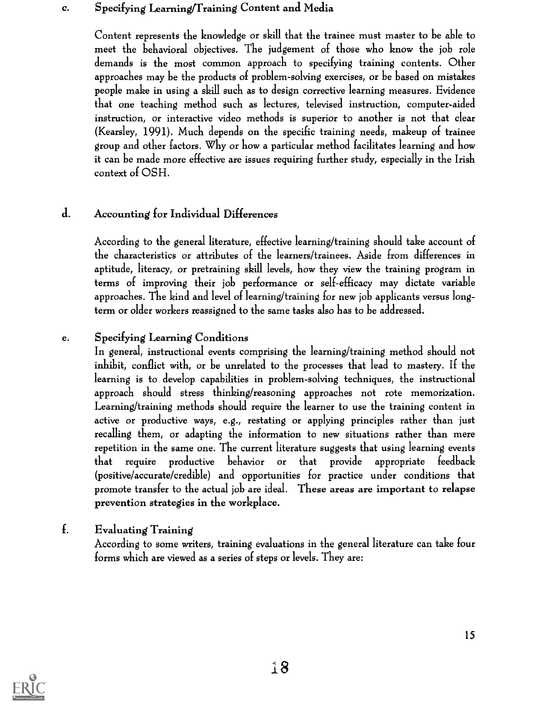#### c. Specifying Learning/Training Content and Media

Content represents the knowledge or skill that the trainee must master to be able to meet the behavioral objectives. The judgement of those who know the job role demands is the most common approach to specifying training contents. Other approaches may be the products of problem-solving exercises, or be based on mistakes people make in using a skill such as to design corrective learning measures. Evidence that one teaching method such as lectures, televised instruction, computer-aided instruction, or interactive video methods is superior to another is not that clear (Kearsley, 1991). Much depends on the specific training needs, makeup of trainee group and other factors. Why or how a particular method facilitates learning and how it can be made more effective are issues requiring further study, especially in the Irish context of OSH.

# d. Accounting for Individual Differences

According to the general literature, effective learning/training should take account of the characteristics or attributes of the learners/trainees. Aside from differences in aptitude, literacy, or pretraining skill levels, how they view the training program in terms of improving their job performance or self-efficacy may dictate variable approaches. The kind and level of learning/training for new job applicants versus longterm or older workers reassigned to the same tasks also has to be addressed.

# e. Specifying Learning Conditions

In general, instructional events comprising the learning/training method should not inhibit, conflict with, or be unrelated to the processes that lead to mastery. If the learning is to develop capabilities in problem-solving techniques, the instructional approach should stress thinking/reasoning approaches not rote memorization. Learning/training methods should require the learner to use the training content in active or productive ways, e.g., restating or applying principles rather than just recalling them, or adapting the information to new situations rather than mere repetition in the same one. The current literature suggests that using learning events that require productive behavior or that provide appropriate feedback (positive/accurate/credible) and opportunities for practice under conditions that promote transfer to the actual job are ideal. These areas are important to relapse prevention strategies in the workplace.

# f. Evaluating Training

According to some writers, training evaluations in the general literature can take four forms which are viewed as a series of steps or levels. They are:

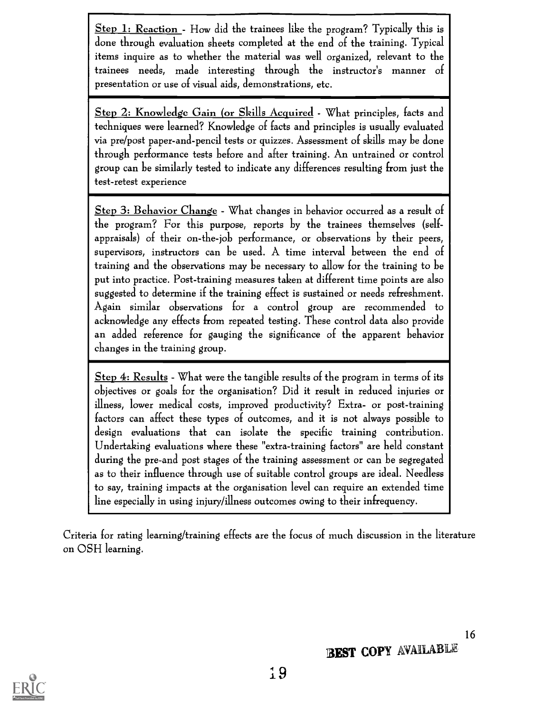Step 1: Reaction - How did the trainees like the program? Typically this is done through evaluation sheets completed at the end of the training. Typical items inquire as to whether the material was well organized, relevant to the trainees needs, made interesting through the instructor's manner of presentation or use of visual aids, demonstrations, etc.

Step 2: Knowledge Gain (or Skills Acquired - What principles, facts and techniques were learned? Knowledge of facts and principles is usually evaluated via pre/post paper-and-pencil tests or quizzes. Assessment of skills may be done through performance tests before and after training. An untrained or control group can be similarly tested to indicate any differences resulting from just the test-retest experience

Step 3: Behavior Change - What changes in behavior occurred as a result of the program? For this purpose, reports by the trainees themselves (selfappraisals) of their on-the-job performance, or observations by their peers, supervisors, instructors can be used. A time interval between the end of training and the observations may be necessary to allow for the training to be put into practice. Post-training measures taken at different time points are also suggested to determine if the training effect is sustained or needs refreshment. Again similar observations for a control group are recommended to acknowledge any effects from repeated testing. These control data also provide an added reference for gauging the significance of the apparent behavior changes in the training group.

Step 4: Results - What were the tangible results of the program in terms of its objectives or goals for the organisation? Did it result in reduced injuries or illness, lower medical costs, improved productivity? Extra- or post-training factors can affect these types of outcomes, and it is not always possible to design evaluations that can isolate the specific training contribution. Undertaking evaluations where these "extra-training factors" are held constant during the pre-and post stages of the training assessment or can be segregated as to their influence through use of suitable control groups are ideal. Needless to say, training impacts at the organisation level can require an extended time line especially in using injury/illness outcomes owing to their infrequency.

Criteria for rating learning/training effects are the focus of much discussion in the literature on OSH learning.

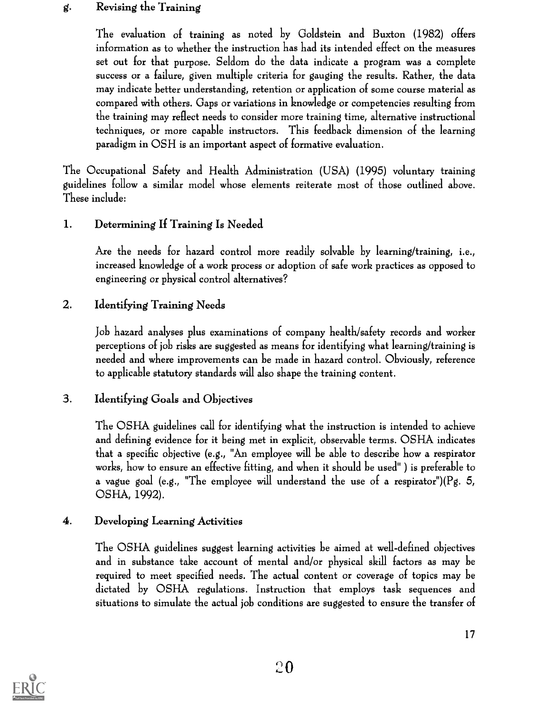### g. Revising the Training

The evaluation of training as noted by Goldstein and Buxton (1982) offers information as to whether the instruction has had its intended effect on the measures set out for that purpose. Seldom do the data indicate a program was a complete success or a failure, given multiple criteria for gauging the results. Rather, the data may indicate better understanding, retention or application of some course material as compared with others. Gaps or variations in knowledge or competencies resulting from the training may reflect needs to consider more training time, alternative instructional techniques, or more capable instructors. This feedback dimension of the learning paradigm in OSH is an important aspect of formative evaluation.

The Occupational Safety and Health Administration (USA) (1995) voluntary training guidelines follow a similar model whose elements reiterate most of those outlined above. These include:

### 1. Determining If Training Is Needed

Are the needs for hazard control more readily solvable by learning/training, i.e., increased knowledge of a work process or adoption of safe work practices as opposed to engineering or physical control alternatives?

# 2. Identifying Training Needs

Job hazard analyses plus examinations of company health/safety records and worker perceptions of job risks are suggested as means for identifying what learning/training is needed and where improvements can be made in hazard control. Obviously, reference to applicable statutory standards will also shape the training content.

# 3. Identifying Goals and Objectives

The OSHA guidelines call for identifying what the instruction is intended to achieve and defining evidence for it being met in explicit, observable terms. OSHA indicates that a specific objective (e.g., "An employee will be able to describe how a respirator works, how to ensure an effective fitting, and when it should be used" ) is preferable to a vague goal (e.g., "The employee will understand the use of a respirator")( $Pg. 5$ , OSHA, 1992).

### 4. Developing Learning Activities

The OSHA guidelines suggest learning activities be aimed at well-defined objectives and in substance take account of mental and/or physical skill factors as may be required to meet specified needs. The actual content or coverage of topics may be dictated by OSHA regulations. Instruction that employs task sequences and situations to simulate the actual job conditions are suggested to ensure the transfer of

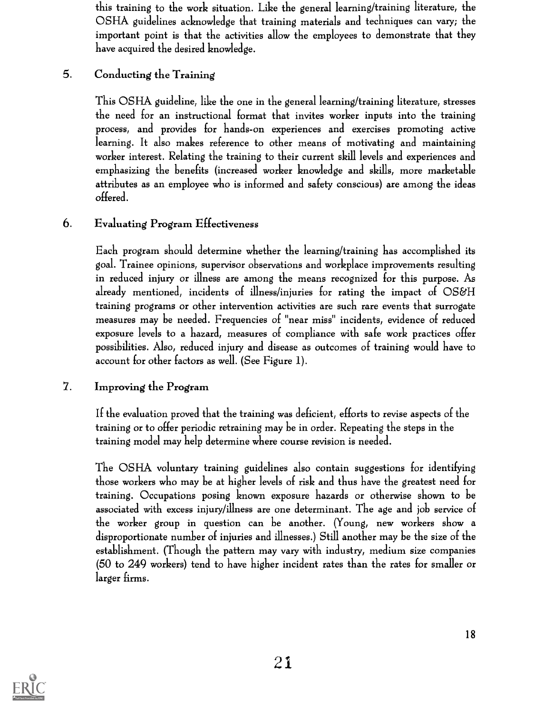this training to the work situation. Like the general learning/training literature, the OSHA guidelines acknowledge that training materials and techniques can vary; the important point is that the activities allow the employees to demonstrate that they have acquired the desired knowledge.

### 5. Conducting the Training

This OSHA guideline, like the one in the general learning/training literature, stresses the need for an instructional format that invites worker inputs into the training process, and provides for hands-on experiences and exercises promoting active learning. It also makes reference to other means of motivating and maintaining worker interest. Relating the training to their current skill levels and experiences and emphasizing the benefits (increased worker knowledge and skills, more marketable attributes as an employee who is informed and safety conscious) are among the ideas offered.

### 6. Evaluating Program Effectiveness

Each program should determine whether the learning /training has accomplished its goal. Trainee opinions, supervisor observations and workplace improvements resulting in reduced injury or illness are among the means recognized for this purpose. As already mentioned, incidents of illness/injuries for rating the impact of OS&H training programs or other intervention activities are such rare events that surrogate measures may be needed. Frequencies of "near miss" incidents, evidence of reduced exposure levels to a hazard, measures of compliance with safe work practices offer possibilities. Also, reduced injury and disease as outcomes of training would have to account for other factors as well. (See Figure 1).

### 7. Improving the Program

If the evaluation proved that the training was deficient, efforts to revise aspects of the training or to offer periodic retraining may be in order. Repeating the steps in the training model may help determine where course revision is needed.

The OSHA voluntary training guidelines also contain suggestions for identifying those workers who may be at higher levels of risk and thus have the greatest need for training. Occupations posing known exposure hazards or otherwise shown to be associated with excess injury/illness are one determinant. The age and job service of the worker group in question can be another. (Young, new workers show a disproportionate number of injuries and illnesses.) Still another may be the size of the establishment. (Though the pattern may vary with industry, medium size companies (50 to 249 workers) tend to have higher incident rates than the rates for smaller or larger firms.

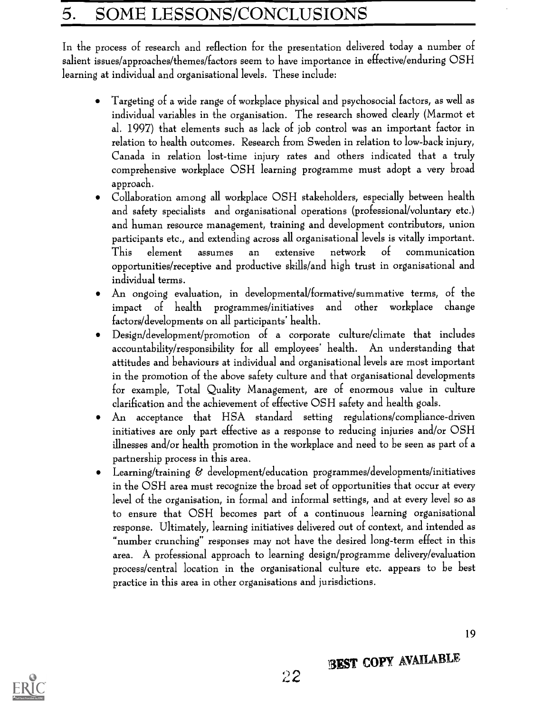# 5. SOME LESSONS/CONCLUSIONS

In the process of research and reflection for the presentation delivered today a number of salient issues/approaches/themes/factors seem to have importance in effective/enduring OSH learning at individual and organisational levels. These include:

- Targeting of a wide range of workplace physical and psychosocial factors, as well as  $\bullet$ individual variables in the organisation. The research showed clearly (Marmot et al. 1997) that elements such as lack of job control was an important factor in relation to health outcomes. Research from Sweden in relation to low-back injury, Canada in relation lost-time injury rates and others indicated that a truly comprehensive workplace OSH learning programme must adopt a very broad approach.
- Collaboration among all workplace OSH stakeholders, especially between health and safety specialists and organisational operations (professional/voluntary etc.) and human resource management, training and development contributors, union participants etc., and extending across all organisational levels is vitally important. This element assumes an extensive network of communication opportunities/receptive and productive skills/and high trust in organisational and individual terms.
- An ongoing evaluation, in developmental/formative/summative terms, of the impact of health programmes/initiatives and other workplace change factors/developments on all participants' health.
- Design/development/promotion of a corporate culture/climate that includes  $\bullet$ accountability/responsibility for all employees' health. An understanding that attitudes and behaviours at individual and organisational levels are most important in the promotion of the above safety culture and that organisational developments for example, Total Quality Management, are of enormous value in culture clarification and the achievement of effective OSH safety and health goals.
- An acceptance that HSA standard setting regulations/compliance-driven  $\bullet$ initiatives are only part effective as a response to reducing injuries and/or OSH illnesses and/or health promotion in the workplace and need to be seen as part of a partnership process in this area.
- Learning/training & development/education programmes/developments/initiatives  $\bullet$ in the OSH area must recognize the broad set of opportunities that occur at every level of the organisation, in formal and informal settings, and at every level so as to ensure that OSH becomes part of a continuous learning organisational response. Ultimately, learning initiatives delivered out of context, and intended as <br>"number crunching" responses may not have the desired long-term effect in this area. A professional approach to learning design/programme delivery/evaluation process/central location in the organisational culture etc. appears to be best practice in this area in other organisations and jurisdictions.



**BEST COPY AVAILABLE**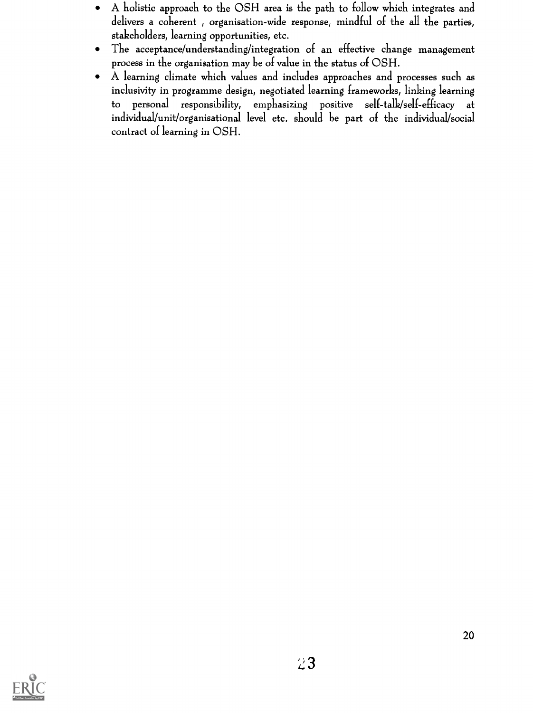- A holistic approach to the OSH area is the path to follow which integrates and  $\bullet$ delivers a coherent , organisation-wide response, mindful of the all the parties, stakeholders, learning opportunities, etc.
- The acceptance/understanding/integration of an effective change management  $\bullet$ process in the organisation may be of value in the status of OSH.
- A learning climate which values and includes approaches and processes such as  $\bullet$ inclusivity in programme design, negotiated learning frameworks, linking learning to personal responsibility, emphasizing positive self-talk/self-efficacy at individual/unit/organisational level etc. should be part of the individual/social contract of learning in OSH.

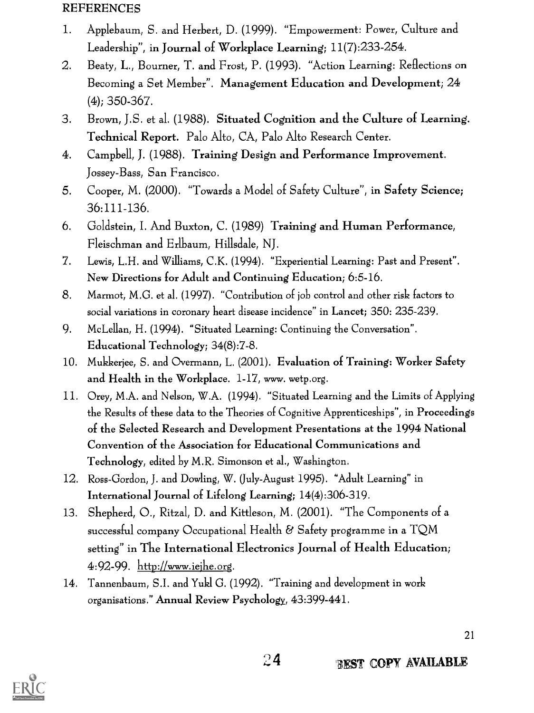### REFERENCES

- 1. Applebaum, S. and Herbert, D. (1999). "Empowerment: Power, Culture and Leadership", in Journal of Workplace Learning; 11(7) :233-254.
- 2. Beaty, L., Bourner, T. and Frost, P. (1993). "Action Learning: Reflections on Becoming a Set Member". Management Education and Development; 24 (4); 350-367.
- 3. Brown, J.S. et al. (1988). Situated Cognition and the Culture of Learning. Technical Report. Palo Alto, CA, Palo Alto Research Center.
- 4. Campbell, J. (1988). Training Design and Performance Improvement. Jossey-Bass, San Francisco.
- 5. Cooper, M. (2000). "Towards a Model of Safety Culture", in Safety Science; 36:111-136.
- 6. Goldstein, I. And Buxton, C. (1989) Training and Human Performance, Fleischman and Erlbaum, Hillsdale, NJ.
- 7. Lewis, L.H. and Williams, C.K. (1994). "Experiential Learning: Past and Present". New Directions for Adult and Continuing Education; 6:5-16.
- 8. Marmot, M.G. et al. (1997). "Contribution of job control and other risk factors to social variations in coronary heart disease incidence" in Lancet; 350: 235-239.
- 9. McLellan, H. (1994). "Situated Learning: Continuing the Conversation". Educational Technology; 34(8):7-8.
- 10. Mukkerjee, S. and Overmann, L. (2001). Evaluation of Training: Worker Safety and Health in the Workplace. 1-17, www. wetp.org.
- 11. Orey, M.A. and Nelson, W.A. (1994). "Situated Learning and the Limits of Applying the Results of these data to the Theories of Cognitive Apprenticeships", in Proceedings of the Selected Research and Development Presentations at the 1994 National Convention of the Association for Educational Communications and Technology, edited by M.R. Simonson et al., Washington.
- 12. Ross-Gordon, J. and Dowling, W. (July-August 1995). "Adult Learning" in International Journal of Lifelong Learning; 14(4):306-319.
- 13. Shepherd, 0., Ritzal, D. and Kittleson, M. (2001). "The Components of a successful company Occupational Health & Safety programme in a TQM setting" in The International Electronics Journal of Health Education; 4:92-99. http://www.iejhe.org.
- 14. Tannenbaum, S.I. and Yukl G. (1992). "Training and development in work organisations." Annual Review Psychology, 43:399-441.

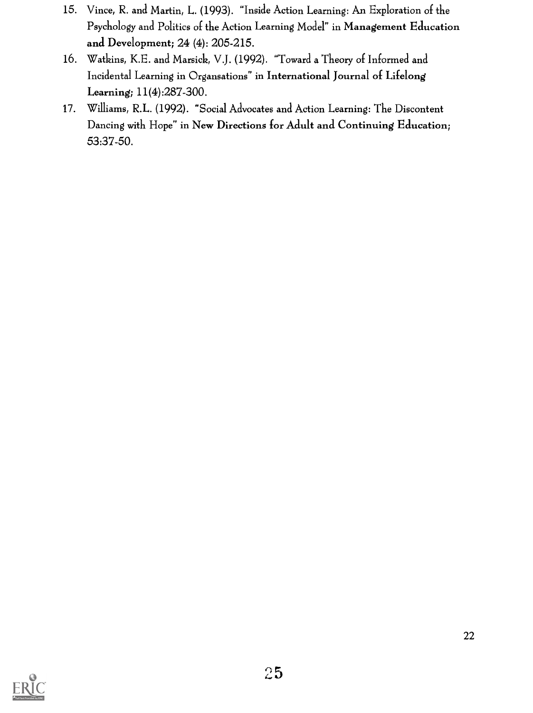- 15. Vince, R. and Martin, L. (1993). "Inside Action Learning: An Exploration of the Psychology and Politics of the Action Learning Model" in Management Education and Development; 24 (4): 205-215.
- 16. Watkins, K.E. and Marsick, V.J. (1992). "Toward a Theory of Informed and Incidental Learning in Organsations" in International Journal of Lifelong Learning; 11(4) :287 -300.
- 17. Williams, R.L. (1992). "Social Advocates and Action Learning: The Discontent Dancing with Hope" in New Directions for Adult and Continuing Education; 53:37-50.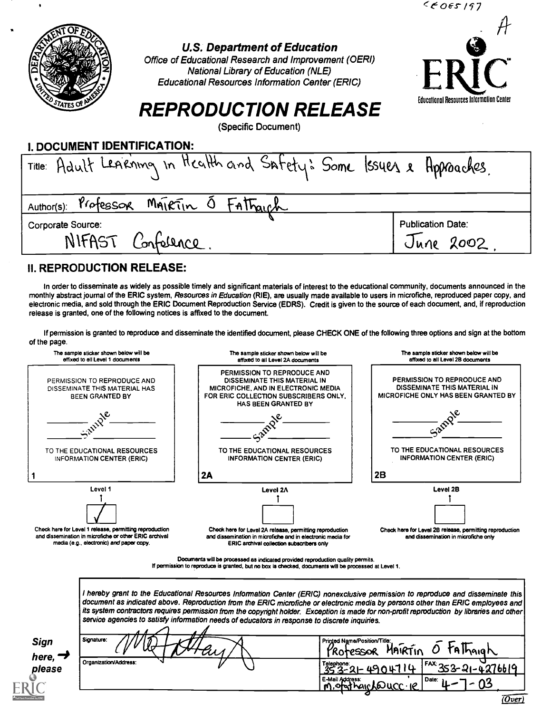|                                                                                                                                                                                                                                                  | 5665197                                          |
|--------------------------------------------------------------------------------------------------------------------------------------------------------------------------------------------------------------------------------------------------|--------------------------------------------------|
| <b>U.S. Department of Education</b><br>Office of Educational Research and Improvement (OERI)<br><b>National Library of Education (NLE)</b><br><b>Educational Resources Information Center (ERIC)</b><br>STATES OF<br><b>REPRODUCTION RELEASE</b> | ERIC<br>Educational Resources Information Center |
| (Specific Document)                                                                                                                                                                                                                              |                                                  |
| I. DOCUMENT IDENTIFICATION:                                                                                                                                                                                                                      |                                                  |
| Title: Adult LeArning in Health and Safety: Some Issues & Approaches.                                                                                                                                                                            |                                                  |
| MAIRTIN O FATTAICH<br>Professor<br>Author(s):                                                                                                                                                                                                    |                                                  |
| Corporate Source:                                                                                                                                                                                                                                | <b>Publication Date:</b>                         |
| NIFAST<br>Confelence                                                                                                                                                                                                                             | June 2002                                        |

#### II. REPRODUCTION RELEASE:

In order to disseminate as widely as possible timely and significant materials of interest to the educational community, documents announced in the monthly abstract journal of the ERIC system, Resources in Education (RIE), are usually made available to users in microfiche, reproduced paper copy, and electronic media, and sold through the ERIC Document Reproduction Service (EDRS). Credit is given to the source of each document, and, if reproduction release is granted, one of the following notices is affixed to the document.

If permission is granted to reproduce and disseminate the identified document, please CHECK ONE of the following three options and sign at the bottom of the page.



|                               | document as indicated above. Reproduction from the ERIC microfiche or electronic media by persons other than ERIC employees and  <br>its system contractors requires permission from the copyright holder. Exception is made for non-profit reproduction by libraries and other  <br>service agencies to satisfy information needs of educators in response to discrete inquiries. |                                                                                                                               |  |  |
|-------------------------------|------------------------------------------------------------------------------------------------------------------------------------------------------------------------------------------------------------------------------------------------------------------------------------------------------------------------------------------------------------------------------------|-------------------------------------------------------------------------------------------------------------------------------|--|--|
| Sign                          | Signature:                                                                                                                                                                                                                                                                                                                                                                         | Printed Name/Position/Title:<br>Fathaigh<br>MAIRTIN<br>Protessor                                                              |  |  |
| here, $\rightarrow$<br>please | Organization/Address:                                                                                                                                                                                                                                                                                                                                                              | - <sup> FAX</sup> 353-21-4276619<br>Telephone:<br>353-21-4904714<br>E-Mail Address:<br>M. Of hair Le UCC. Il<br><b>IDate:</b> |  |  |